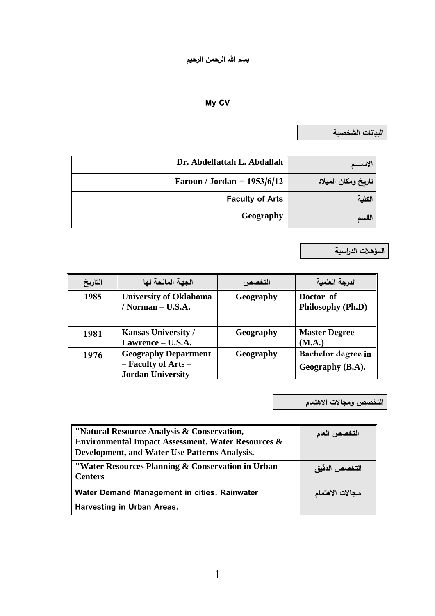## **My CV**

**البيانات الذخرية**

| Dr. Abdelfattah L. Abdallah   |                     |
|-------------------------------|---------------------|
| Faroun / Jordan - $1953/6/12$ | تاريخ ومكان الميلاد |
| <b>Faculty of Arts</b>        |                     |
| Geography                     |                     |

**السؤهالت الدراسية**

| التاريخ | الجهة المانحة لها                                                              | التخصص    | الدرجة العلمية                         |
|---------|--------------------------------------------------------------------------------|-----------|----------------------------------------|
| 1985    | <b>University of Oklahoma</b><br>/ Norman $-$ U.S.A.                           | Geography | Doctor of<br>Philosophy (Ph.D)         |
| 1981    | <b>Kansas University /</b><br>Lawrence – U.S.A.                                | Geography | <b>Master Degree</b><br>(M.A.)         |
| 1976    | <b>Geography Department</b><br>- Faculty of Arts -<br><b>Jordan University</b> | Geography | Bachelor degree in<br>Geography (B.A). |

**التخرص ومجاالت االهتسام**

| "Natural Resource Analysis & Conservation,                          | التخصص العام    |
|---------------------------------------------------------------------|-----------------|
| <b>Environmental Impact Assessment. Water Resources &amp;</b>       |                 |
| Development, and Water Use Patterns Analysis.                       |                 |
| "Water Resources Planning & Conservation in Urban<br><b>Centers</b> | التخصص الدقيق   |
| Water Demand Management in cities. Rainwater                        | مجالات الاهتمام |
| Harvesting in Urban Areas.                                          |                 |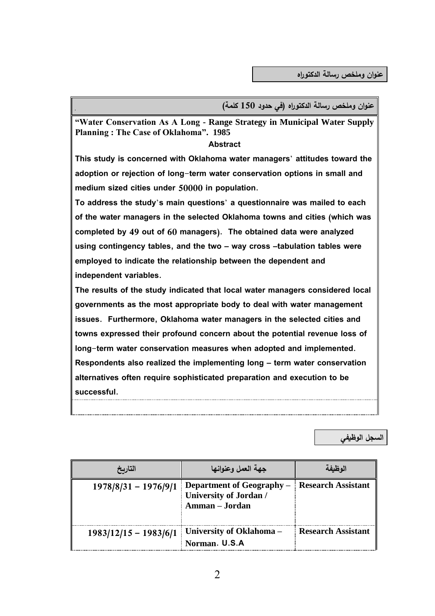**عشهان و ملخص رسالة الدكتهراه )في حدود 150 كلسة(**

**"Water Conservation As A Long - Range Strategy in Municipal Water Supply Planning : The Case of Oklahoma". 1985**

## **Abstract**

**This study is concerned with Oklahoma water managers' attitudes toward the adoption or rejection of long-term water conservation options in small and medium sized cities under 50000 in population.**

**To address the study's main questions' a questionnaire was mailed to each of the water managers in the selected Oklahoma towns and cities (which was completed by 49 out of 60 managers). The obtained data were analyzed using contingency tables, and the two – way cross –tabulation tables were employed to indicate the relationship between the dependent and independent variables.** 

**The results of the study indicated that local water managers considered local governments as the most appropriate body to deal with water management issues. Furthermore, Oklahoma water managers in the selected cities and towns expressed their profound concern about the potential revenue loss of long-term water conservation measures when adopted and implemented. Respondents also realized the implementing long – term water conservation alternatives often require sophisticated preparation and execution to be successful.** 

**الدجل الهظيفي** 

| التاريخ                 | جهة العمل وعنوانها                                                           | 'لەظىفة                   |
|-------------------------|------------------------------------------------------------------------------|---------------------------|
| $1978/8/31 - 1976/9/1$  | Department of Geography –<br><b>University of Jordan /</b><br>Amman - Jordan | <b>Research Assistant</b> |
| $1983/12/15 - 1983/6/1$ | University of Oklahoma -<br>Norman. U.S.A                                    | <b>Research Assistant</b> |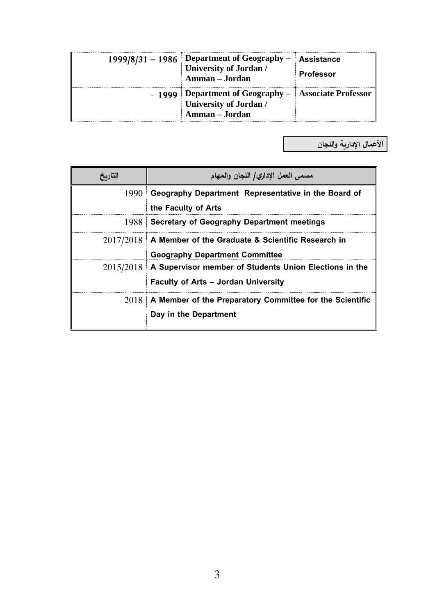| 1999/8/31 – 1986 Department of Geography – Assistance<br>University of Jordan /<br>Amman - Jordan       | <b>Professor</b> |
|---------------------------------------------------------------------------------------------------------|------------------|
| - 1999 Department of Geography - Associate Professor<br><b>University of Jordan /</b><br>Amman - Jordan |                  |

**األعسال اإلدارية واللجان** 

| التاريح | مسمى العمل الإداري/ اللجان والمهام                                 |  |  |
|---------|--------------------------------------------------------------------|--|--|
|         | 1990 Geography Department Representative in the Board of           |  |  |
|         | the Faculty of Arts                                                |  |  |
|         | 1988 Secretary of Geography Department meetings                    |  |  |
|         | $2017/2018$ A Member of the Graduate & Scientific Research in      |  |  |
|         | <b>Geography Department Committee</b>                              |  |  |
|         | 2015/2018   A Supervisor member of Students Union Elections in the |  |  |
|         | <b>Faculty of Arts - Jordan University</b>                         |  |  |
|         | $2018$ A Member of the Preparatory Committee for the Scientific    |  |  |
|         | Day in the Department                                              |  |  |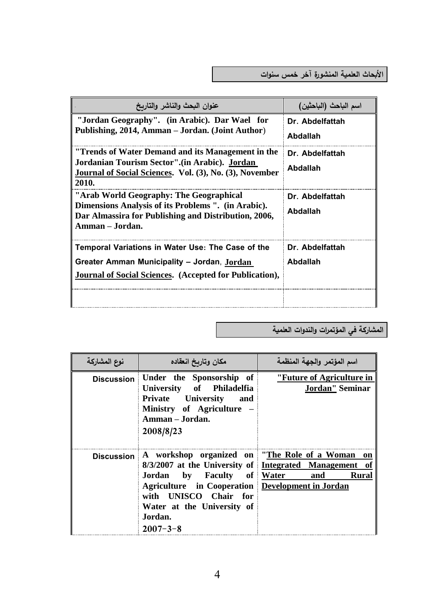**األبحاث العلسية السشذه رة آخر خسس سشهات**

| عنوان البحث والناشر والتاربخ                                                                                                                                              | اسم الباحث (الباحثين)       |
|---------------------------------------------------------------------------------------------------------------------------------------------------------------------------|-----------------------------|
| "Jordan Geography". (in Arabic). Dar Wael for<br>Publishing, 2014, Amman – Jordan. (Joint Author)                                                                         | Dr. Abdelfattah<br>Abdallah |
| "Trends of Water Demand and its Management in the<br>Jordanian Tourism Sector".(in Arabic). Jordan<br>Journal of Social Sciences. Vol. (3), No. (3), November<br>2010.    | Dr. Abdelfattah<br>Abdallah |
| "Arab World Geography: The Geographical<br>Dimensions Analysis of its Problems ". (in Arabic).<br>Dar Almassira for Publishing and Distribution, 2006,<br>Amman - Jordan. | Dr. Abdelfattah<br>Abdallah |
| Temporal Variations in Water Use: The Case of the<br>Greater Amman Municipality - Jordan, Jordan<br><b>Journal of Social Sciences.</b> (Accepted for Publication),        | Dr. Abdelfattah<br>Abdallah |

**السذاركة في السؤتسرات والشدوات العلسية**

| نوع المشاركة      | مكان وتاربخ انعقاده                                                                                                                                                                                                       | اسم المؤتمر والجهة المنظمة                                                          |
|-------------------|---------------------------------------------------------------------------------------------------------------------------------------------------------------------------------------------------------------------------|-------------------------------------------------------------------------------------|
| <b>Discussion</b> | Under the Sponsorship of<br>University of Philadelfia<br>Private University and<br>Ministry of Agriculture –<br>Amman – Jordan.<br>2008/8/23                                                                              | "Future of Agriculture in<br>Jordan" Seminar                                        |
| <b>Discussion</b> | A workshop organized on "The Role of a Woman<br>Jordan by Faculty of Water<br><b>Agriculture</b> in Cooperation Development in Jordan<br>with UNISCO Chair for<br>Water at the University of<br>Jordan.<br>$2007 - 3 - 8$ | on<br>8/3/2007 at the University of Integrated Management of<br><b>Rural</b><br>and |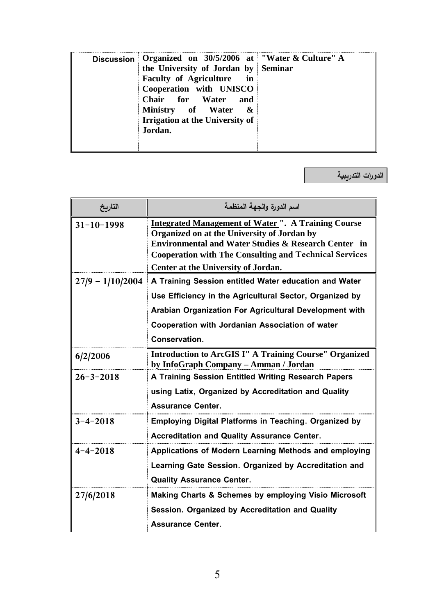| Discussion Organized on $30/5/2006$ at "Water & Culture" A |
|------------------------------------------------------------|
|------------------------------------------------------------|

**الدورات التدريبية**

| التاربخ            | اسم الدورة والجهة المنظمة                                                                                                                                                                                                                                                            |  |
|--------------------|--------------------------------------------------------------------------------------------------------------------------------------------------------------------------------------------------------------------------------------------------------------------------------------|--|
| $31 - 10 - 1998$   | <b>Integrated Management of Water ". A Training Course</b><br>Organized on at the University of Jordan by<br><b>Environmental and Water Studies &amp; Research Center in</b><br><b>Cooperation with The Consulting and Technical Services</b><br>Center at the University of Jordan. |  |
| $27/9 - 1/10/2004$ | A Training Session entitled Water education and Water                                                                                                                                                                                                                                |  |
|                    | Use Efficiency in the Agricultural Sector, Organized by                                                                                                                                                                                                                              |  |
|                    | Arabian Organization For Agricultural Development with                                                                                                                                                                                                                               |  |
|                    | Cooperation with Jordanian Association of water                                                                                                                                                                                                                                      |  |
|                    | Conservation.                                                                                                                                                                                                                                                                        |  |
| 6/2/2006           | <b>Introduction to ArcGIS I" A Training Course" Organized</b><br>by InfoGraph Company - Amman / Jordan                                                                                                                                                                               |  |
| $26 - 3 - 2018$    | A Training Session Entitled Writing Research Papers                                                                                                                                                                                                                                  |  |
|                    | using Latix, Organized by Accreditation and Quality<br><b>Assurance Center.</b>                                                                                                                                                                                                      |  |
| $3 - 4 - 2018$     | <b>Employing Digital Platforms in Teaching. Organized by</b>                                                                                                                                                                                                                         |  |
|                    | <b>Accreditation and Quality Assurance Center.</b>                                                                                                                                                                                                                                   |  |
| $4 - 4 - 2018$     | Applications of Modern Learning Methods and employing                                                                                                                                                                                                                                |  |
|                    | Learning Gate Session. Organized by Accreditation and                                                                                                                                                                                                                                |  |
|                    | <b>Quality Assurance Center.</b>                                                                                                                                                                                                                                                     |  |
| 27/6/2018          | <b>Making Charts &amp; Schemes by employing Visio Microsoft</b>                                                                                                                                                                                                                      |  |
|                    | Session. Organized by Accreditation and Quality                                                                                                                                                                                                                                      |  |
|                    | <b>Assurance Center.</b>                                                                                                                                                                                                                                                             |  |